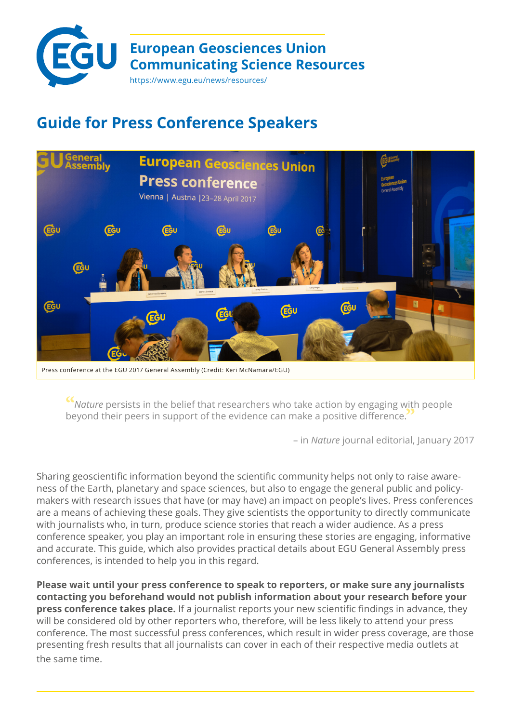

# **Guide for Press Conference Speakers**



**"***Nature* persists in the belief that researchers who take action by engaging with people beyond their peers in support of the evidence can make a positive difference.**"**

– in *Nature* journal editorial, January 2017

Sharing geoscientific information beyond the scientific community helps not only to raise awareness of the Earth, planetary and space sciences, but also to engage the general public and policymakers with research issues that have (or may have) an impact on people's lives. Press conferences are a means of achieving these goals. They give scientists the opportunity to directly communicate with journalists who, in turn, produce science stories that reach a wider audience. As a press conference speaker, you play an important role in ensuring these stories are engaging, informative and accurate. This guide, which also provides practical details about EGU General Assembly press conferences, is intended to help you in this regard.

**Please wait until your press conference to speak to reporters, or make sure any journalists contacting you beforehand would not publish information about your research before your press conference takes place.** If a journalist reports your new scientific findings in advance, they will be considered old by other reporters who, therefore, will be less likely to attend your press conference. The most successful press conferences, which result in wider press coverage, are those presenting fresh results that all journalists can cover in each of their respective media outlets at the same time.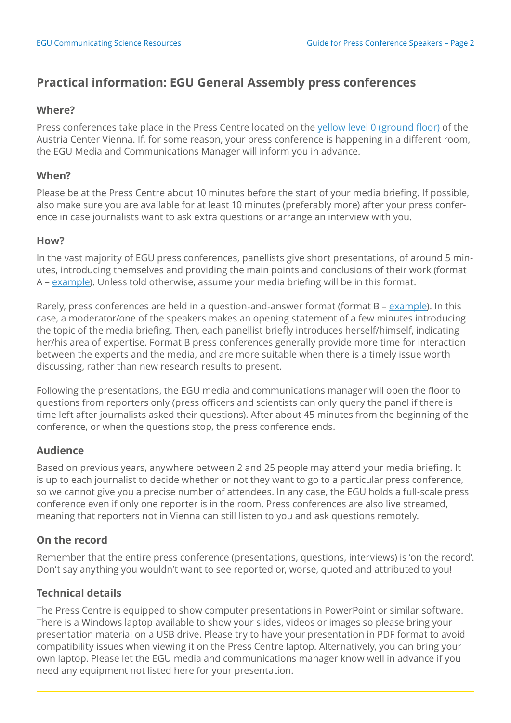# **Practical information: EGU General Assembly press conferences**

#### **Where?**

Press conferences take place in the Press Centre located on the [yellow level 0 \(ground floor\)](https://egu2018.eu/EGU2018_level0_yellow.pdf) of the Austria Center Vienna. If, for some reason, your press conference is happening in a different room, the EGU Media and Communications Manager will inform you in advance.

#### **When?**

Please be at the Press Centre about 10 minutes before the start of your media briefing. If possible, also make sure you are available for at least 10 minutes (preferably more) after your press conference in case journalists want to ask extra questions or arrange an interview with you.

#### **How?**

In the vast majority of EGU press conferences, panellists give short presentations, of around 5 minutes, introducing themselves and providing the main points and conclusions of their work (format A – [example](https://www.youtube.com/watch?v=1PHkZqDqJ4o)). Unless told otherwise, assume your media briefing will be in this format.

Rarely, press conferences are held in a question-and-answer format (format B – [example](https://www.youtube.com/watch?v=uqP5dy7hBAE)). In this case, a moderator/one of the speakers makes an opening statement of a few minutes introducing the topic of the media briefing. Then, each panellist briefly introduces herself/himself, indicating her/his area of expertise. Format B press conferences generally provide more time for interaction between the experts and the media, and are more suitable when there is a timely issue worth discussing, rather than new research results to present.

Following the presentations, the EGU media and communications manager will open the floor to questions from reporters only (press officers and scientists can only query the panel if there is time left after journalists asked their questions). After about 45 minutes from the beginning of the conference, or when the questions stop, the press conference ends.

#### **Audience**

Based on previous years, anywhere between 2 and 25 people may attend your media briefing. It is up to each journalist to decide whether or not they want to go to a particular press conference, so we cannot give you a precise number of attendees. In any case, the EGU holds a full-scale press conference even if only one reporter is in the room. Press conferences are also live streamed, meaning that reporters not in Vienna can still listen to you and ask questions remotely.

#### **On the record**

Remember that the entire press conference (presentations, questions, interviews) is 'on the record'. Don't say anything you wouldn't want to see reported or, worse, quoted and attributed to you!

#### **Technical details**

The Press Centre is equipped to show computer presentations in PowerPoint or similar software. There is a Windows laptop available to show your slides, videos or images so please bring your presentation material on a USB drive. Please try to have your presentation in PDF format to avoid compatibility issues when viewing it on the Press Centre laptop. Alternatively, you can bring your own laptop. Please let the EGU media and communications manager know well in advance if you need any equipment not listed here for your presentation.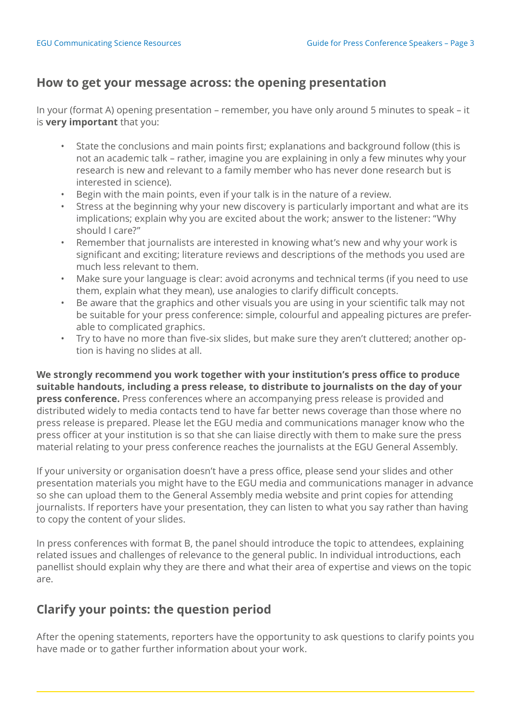## **How to get your message across: the opening presentation**

In your (format A) opening presentation – remember, you have only around 5 minutes to speak – it is **very important** that you:

- State the conclusions and main points first; explanations and background follow (this is not an academic talk – rather, imagine you are explaining in only a few minutes why your research is new and relevant to a family member who has never done research but is interested in science).
- Begin with the main points, even if your talk is in the nature of a review.
- Stress at the beginning why your new discovery is particularly important and what are its implications; explain why you are excited about the work; answer to the listener: "Why should I care?"
- Remember that journalists are interested in knowing what's new and why your work is significant and exciting; literature reviews and descriptions of the methods you used are much less relevant to them.
- Make sure your language is clear: avoid acronyms and technical terms (if you need to use them, explain what they mean), use analogies to clarify difficult concepts.
- Be aware that the graphics and other visuals you are using in your scientific talk may not be suitable for your press conference: simple, colourful and appealing pictures are preferable to complicated graphics.
- Try to have no more than five-six slides, but make sure they aren't cluttered; another option is having no slides at all.

**We strongly recommend you work together with your institution's press office to produce suitable handouts, including a press release, to distribute to journalists on the day of your press conference.** Press conferences where an accompanying press release is provided and distributed widely to media contacts tend to have far better news coverage than those where no press release is prepared. Please let the EGU media and communications manager know who the press officer at your institution is so that she can liaise directly with them to make sure the press material relating to your press conference reaches the journalists at the EGU General Assembly.

If your university or organisation doesn't have a press office, please send your slides and other presentation materials you might have to the EGU media and communications manager in advance so she can upload them to the General Assembly media website and print copies for attending journalists. If reporters have your presentation, they can listen to what you say rather than having to copy the content of your slides.

In press conferences with format B, the panel should introduce the topic to attendees, explaining related issues and challenges of relevance to the general public. In individual introductions, each panellist should explain why they are there and what their area of expertise and views on the topic are.

## **Clarify your points: the question period**

After the opening statements, reporters have the opportunity to ask questions to clarify points you have made or to gather further information about your work.